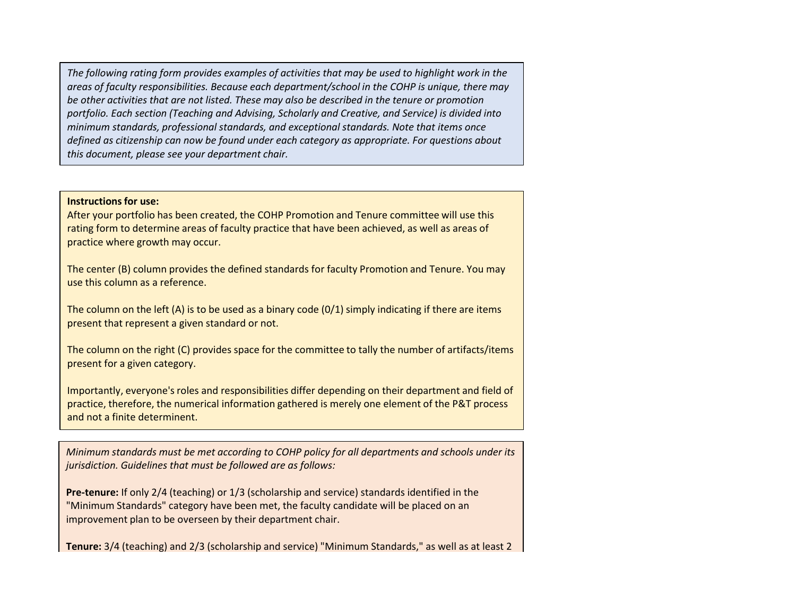*The following rating form provides examples of activities that may be used to highlight work in the areas of faculty responsibilities. Because each department/school in the COHP is unique, there may be other activities that are not listed. These may also be described in the tenure or promotion portfolio. Each section (Teaching and Advising, Scholarly and Creative, and Service) is divided into minimum standards, professional standards, and exceptional standards. Note that items once defined as citizenship can now be found under each category as appropriate. For questions about this document, please see your department chair.* 

## **Instructions for use:**

After your portfolio has been created, the COHP Promotion and Tenure committee will use this rating form to determine areas of faculty practice that have been achieved, as well as areas of practice where growth may occur.

The center (B) column provides the defined standards for faculty Promotion and Tenure. You may use this column as a reference.

The column on the left (A) is to be used as a binary code (0/1) simply indicating if there are items present that represent a given standard or not.

The column on the right (C) provides space for the committee to tally the number of artifacts/items present for a given category.

Importantly, everyone's roles and responsibilities differ depending on their department and field of practice, therefore, the numerical information gathered is merely one element of the P&T process and not a finite determinent.

*Minimum standards must be met according to COHP policy for all departments and schools under its jurisdiction. Guidelines that must be followed are as follows:*

**Pre-tenure:** If only 2/4 (teaching) or 1/3 (scholarship and service) standards identified in the "Minimum Standards" category have been met, the faculty candidate will be placed on an improvement plan to be overseen by their department chair.

**Tenure:** 3/4 (teaching) and 2/3 (scholarship and service) "Minimum Standards," as well as at least 2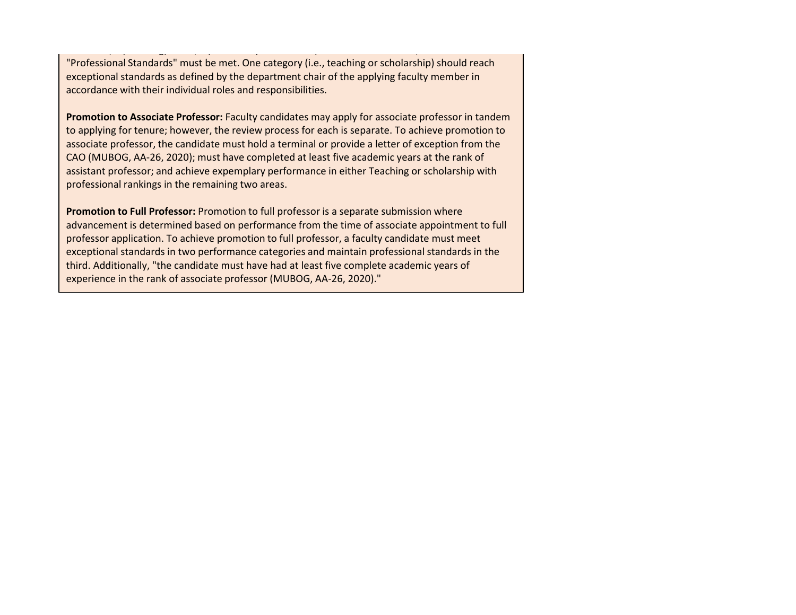"Professional Standards" must be met. One category (i.e., teaching or scholarship) should reach exceptional standards as defined by the department chair of the applying faculty member in accordance with their individual roles and responsibilities.

**Tenure:** 3/4 (teaching) and 2/3 (scholarship and service) "Minimum Standards," as well as at least 2

**Promotion to Associate Professor:** Faculty candidates may apply for associate professor in tandem to applying for tenure; however, the review process for each is separate. To achieve promotion to associate professor, the candidate must hold a terminal or provide a letter of exception from the CAO (MUBOG, AA-26, 2020); must have completed at least five academic years at the rank of assistant professor; and achieve expemplary performance in either Teaching or scholarship with professional rankings in the remaining two areas.

**Promotion to Full Professor:** Promotion to full professor is a separate submission where advancement is determined based on performance from the time of associate appointment to full professor application. To achieve promotion to full professor, a faculty candidate must meet exceptional standards in two performance categories and maintain professional standards in the third. Additionally, "the candidate must have had at least five complete academic years of experience in the rank of associate professor (MUBOG, AA-26, 2020)."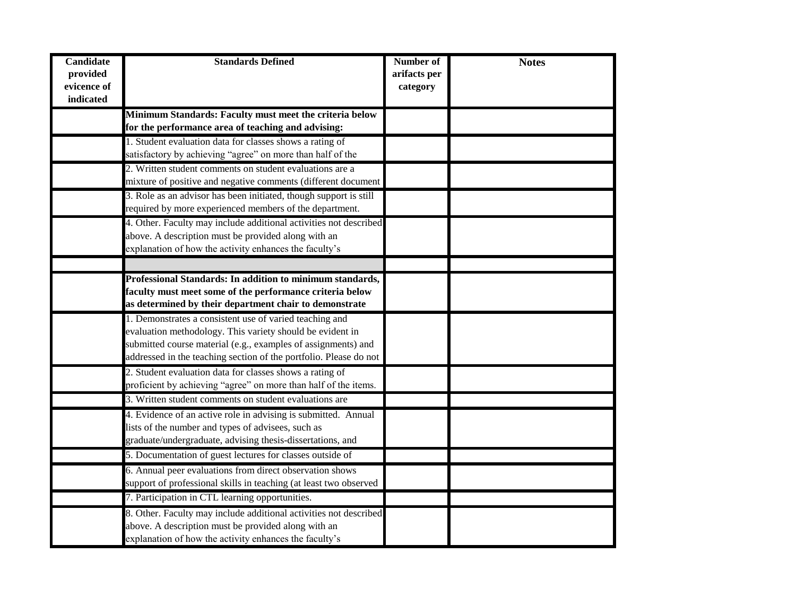| <b>Candidate</b><br>provided<br>evicence of<br>indicated | <b>Standards Defined</b>                                                                                                   | Number of<br>arifacts per<br>category | <b>Notes</b> |
|----------------------------------------------------------|----------------------------------------------------------------------------------------------------------------------------|---------------------------------------|--------------|
|                                                          | Minimum Standards: Faculty must meet the criteria below                                                                    |                                       |              |
|                                                          | for the performance area of teaching and advising:                                                                         |                                       |              |
|                                                          | 1. Student evaluation data for classes shows a rating of                                                                   |                                       |              |
|                                                          | satisfactory by achieving "agree" on more than half of the                                                                 |                                       |              |
|                                                          | 2. Written student comments on student evaluations are a                                                                   |                                       |              |
|                                                          | mixture of positive and negative comments (different document                                                              |                                       |              |
|                                                          | 3. Role as an advisor has been initiated, though support is still                                                          |                                       |              |
|                                                          | required by more experienced members of the department.                                                                    |                                       |              |
|                                                          | 4. Other. Faculty may include additional activities not described                                                          |                                       |              |
|                                                          | above. A description must be provided along with an                                                                        |                                       |              |
|                                                          | explanation of how the activity enhances the faculty's                                                                     |                                       |              |
|                                                          |                                                                                                                            |                                       |              |
|                                                          | Professional Standards: In addition to minimum standards,                                                                  |                                       |              |
|                                                          | faculty must meet some of the performance criteria below                                                                   |                                       |              |
|                                                          | as determined by their department chair to demonstrate                                                                     |                                       |              |
|                                                          | 1. Demonstrates a consistent use of varied teaching and                                                                    |                                       |              |
|                                                          | evaluation methodology. This variety should be evident in<br>submitted course material (e.g., examples of assignments) and |                                       |              |
|                                                          | addressed in the teaching section of the portfolio. Please do not                                                          |                                       |              |
|                                                          | 2. Student evaluation data for classes shows a rating of                                                                   |                                       |              |
|                                                          | proficient by achieving "agree" on more than half of the items.                                                            |                                       |              |
|                                                          | 3. Written student comments on student evaluations are                                                                     |                                       |              |
|                                                          |                                                                                                                            |                                       |              |
|                                                          | 4. Evidence of an active role in advising is submitted. Annual                                                             |                                       |              |
|                                                          | lists of the number and types of advisees, such as                                                                         |                                       |              |
|                                                          | graduate/undergraduate, advising thesis-dissertations, and                                                                 |                                       |              |
|                                                          | 5. Documentation of guest lectures for classes outside of                                                                  |                                       |              |
|                                                          | 6. Annual peer evaluations from direct observation shows                                                                   |                                       |              |
|                                                          | support of professional skills in teaching (at least two observed                                                          |                                       |              |
|                                                          | 7. Participation in CTL learning opportunities.                                                                            |                                       |              |
|                                                          | 8. Other. Faculty may include additional activities not described                                                          |                                       |              |
|                                                          | above. A description must be provided along with an                                                                        |                                       |              |
|                                                          | explanation of how the activity enhances the faculty's                                                                     |                                       |              |

performance in this area. This must be approved by the faculty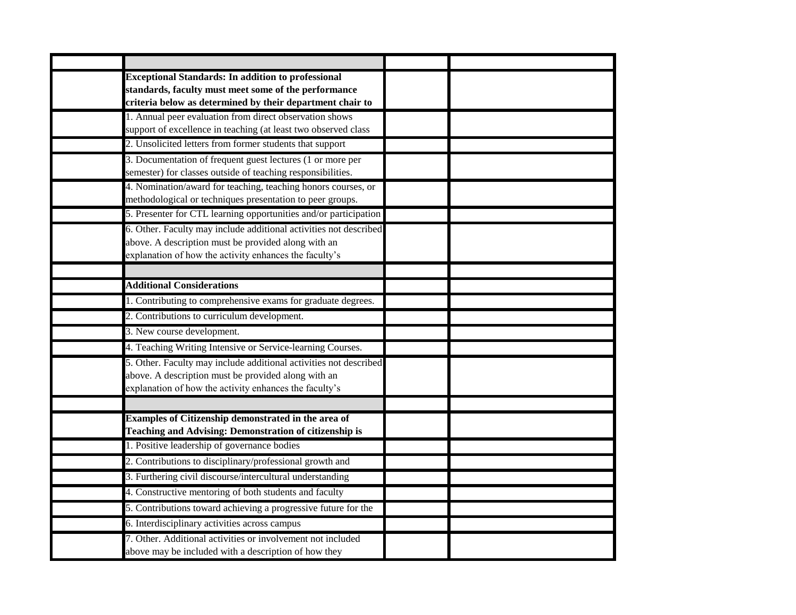| <b>Exceptional Standards: In addition to professional</b><br>standards, faculty must meet some of the performance<br>criteria below as determined by their department chair to     |  |
|------------------------------------------------------------------------------------------------------------------------------------------------------------------------------------|--|
| 1. Annual peer evaluation from direct observation shows<br>support of excellence in teaching (at least two observed class                                                          |  |
| 2. Unsolicited letters from former students that support                                                                                                                           |  |
| 3. Documentation of frequent guest lectures (1 or more per<br>semester) for classes outside of teaching responsibilities.                                                          |  |
| 4. Nomination/award for teaching, teaching honors courses, or<br>methodological or techniques presentation to peer groups.                                                         |  |
| 5. Presenter for CTL learning opportunities and/or participation                                                                                                                   |  |
| 6. Other. Faculty may include additional activities not described<br>above. A description must be provided along with an<br>explanation of how the activity enhances the faculty's |  |
|                                                                                                                                                                                    |  |
| <b>Additional Considerations</b>                                                                                                                                                   |  |
| 1. Contributing to comprehensive exams for graduate degrees.                                                                                                                       |  |
| 2. Contributions to curriculum development.                                                                                                                                        |  |
| 3. New course development.                                                                                                                                                         |  |
| 4. Teaching Writing Intensive or Service-learning Courses.                                                                                                                         |  |
| 5. Other. Faculty may include additional activities not described<br>above. A description must be provided along with an<br>explanation of how the activity enhances the faculty's |  |
|                                                                                                                                                                                    |  |
| Examples of Citizenship demonstrated in the area of<br>Teaching and Advising: Demonstration of citizenship is                                                                      |  |
| 1. Positive leadership of governance bodies                                                                                                                                        |  |
| 2. Contributions to disciplinary/professional growth and                                                                                                                           |  |
| 3. Furthering civil discourse/intercultural understanding                                                                                                                          |  |
| 4. Constructive mentoring of both students and faculty                                                                                                                             |  |
| 5. Contributions toward achieving a progressive future for the                                                                                                                     |  |
| 6. Interdisciplinary activities across campus                                                                                                                                      |  |
| 7. Other. Additional activities or involvement not included<br>above may be included with a description of how they                                                                |  |

demonstrate commitment to University Citizenship.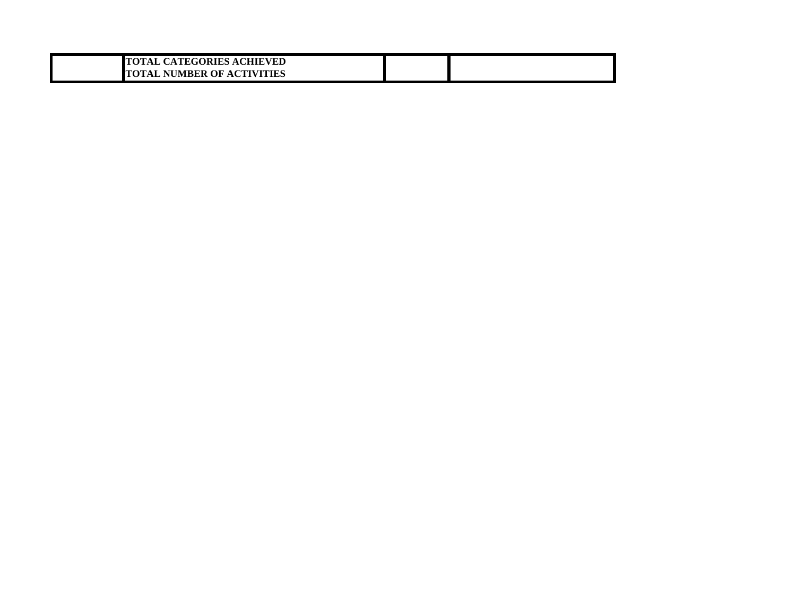| <b>TOTAL CATEGORIES ACHIEVED</b>  |  |
|-----------------------------------|--|
| <b>TOTAL NUMBER OF ACTIVITIES</b> |  |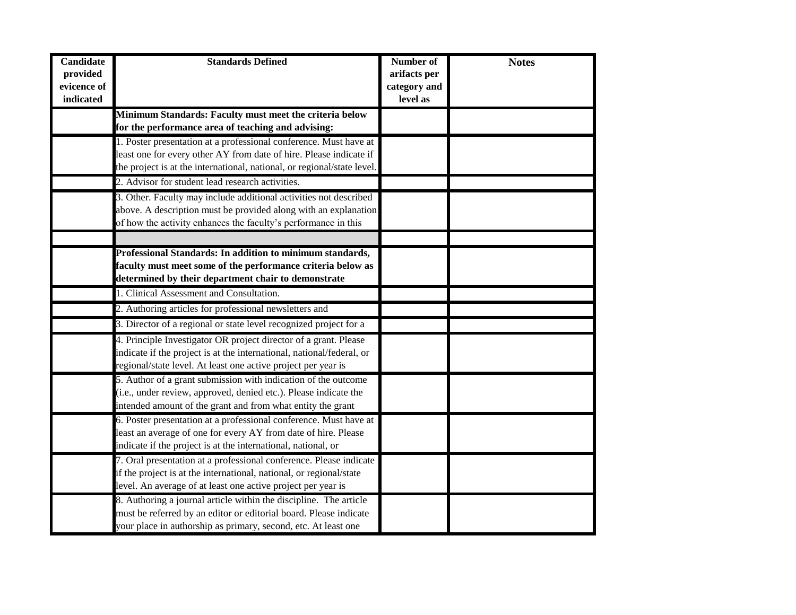| <b>Candidate</b><br>provided<br>evicence of | <b>Standards Defined</b>                                                                                                                      | Number of<br>arifacts per<br>category and | <b>Notes</b> |
|---------------------------------------------|-----------------------------------------------------------------------------------------------------------------------------------------------|-------------------------------------------|--------------|
| indicated                                   |                                                                                                                                               | level as                                  |              |
|                                             | Minimum Standards: Faculty must meet the criteria below                                                                                       |                                           |              |
|                                             | for the performance area of teaching and advising:                                                                                            |                                           |              |
|                                             | 1. Poster presentation at a professional conference. Must have at                                                                             |                                           |              |
|                                             | least one for every other AY from date of hire. Please indicate if<br>the project is at the international, national, or regional/state level. |                                           |              |
|                                             | 2. Advisor for student lead research activities.                                                                                              |                                           |              |
|                                             |                                                                                                                                               |                                           |              |
|                                             | 3. Other. Faculty may include additional activities not described                                                                             |                                           |              |
|                                             | above. A description must be provided along with an explanation                                                                               |                                           |              |
|                                             | of how the activity enhances the faculty's performance in this                                                                                |                                           |              |
|                                             |                                                                                                                                               |                                           |              |
|                                             | Professional Standards: In addition to minimum standards,                                                                                     |                                           |              |
|                                             | faculty must meet some of the performance criteria below as                                                                                   |                                           |              |
|                                             | determined by their department chair to demonstrate                                                                                           |                                           |              |
|                                             | 1. Clinical Assessment and Consultation.                                                                                                      |                                           |              |
|                                             | 2. Authoring articles for professional newsletters and                                                                                        |                                           |              |
|                                             | 3. Director of a regional or state level recognized project for a                                                                             |                                           |              |
|                                             | 4. Principle Investigator OR project director of a grant. Please                                                                              |                                           |              |
|                                             | indicate if the project is at the international, national/federal, or                                                                         |                                           |              |
|                                             | regional/state level. At least one active project per year is                                                                                 |                                           |              |
|                                             | 5. Author of a grant submission with indication of the outcome                                                                                |                                           |              |
|                                             | (i.e., under review, approved, denied etc.). Please indicate the                                                                              |                                           |              |
|                                             | intended amount of the grant and from what entity the grant                                                                                   |                                           |              |
|                                             | 6. Poster presentation at a professional conference. Must have at                                                                             |                                           |              |
|                                             | least an average of one for every AY from date of hire. Please                                                                                |                                           |              |
|                                             | indicate if the project is at the international, national, or                                                                                 |                                           |              |
|                                             | 7. Oral presentation at a professional conference. Please indicate                                                                            |                                           |              |
|                                             | if the project is at the international, national, or regional/state                                                                           |                                           |              |
|                                             | level. An average of at least one active project per year is                                                                                  |                                           |              |
|                                             | 8. Authoring a journal article within the discipline. The article                                                                             |                                           |              |
|                                             | must be referred by an editor or editorial board. Please indicate                                                                             |                                           |              |
|                                             | your place in authorship as primary, second, etc. At least one                                                                                |                                           |              |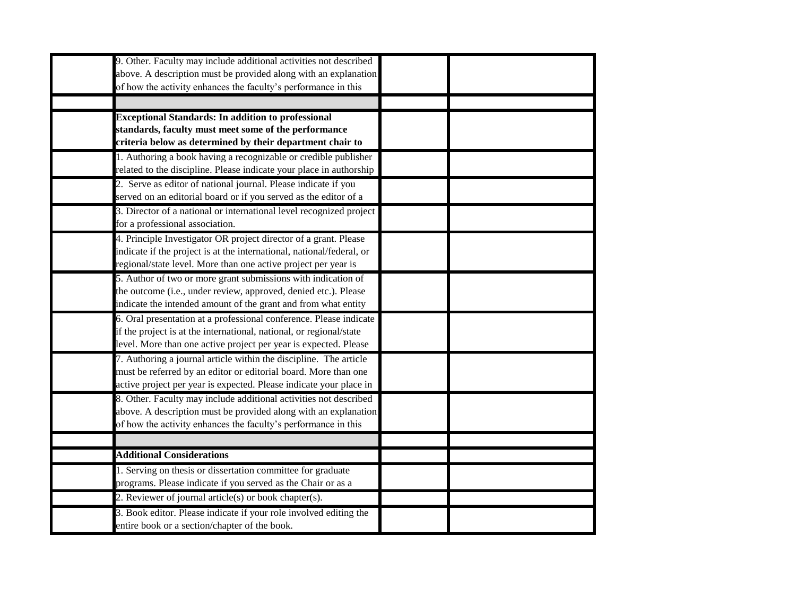| 9. Other. Faculty may include additional activities not described<br>above. A description must be provided along with an explanation |  |
|--------------------------------------------------------------------------------------------------------------------------------------|--|
| of how the activity enhances the faculty's performance in this                                                                       |  |
|                                                                                                                                      |  |
| <b>Exceptional Standards: In addition to professional</b>                                                                            |  |
| standards, faculty must meet some of the performance                                                                                 |  |
| criteria below as determined by their department chair to                                                                            |  |
| 1. Authoring a book having a recognizable or credible publisher                                                                      |  |
| related to the discipline. Please indicate your place in authorship                                                                  |  |
| 2. Serve as editor of national journal. Please indicate if you                                                                       |  |
| served on an editorial board or if you served as the editor of a                                                                     |  |
| 3. Director of a national or international level recognized project                                                                  |  |
| for a professional association.                                                                                                      |  |
| 4. Principle Investigator OR project director of a grant. Please                                                                     |  |
| indicate if the project is at the international, national/federal, or                                                                |  |
| regional/state level. More than one active project per year is                                                                       |  |
| 5. Author of two or more grant submissions with indication of                                                                        |  |
| the outcome (i.e., under review, approved, denied etc.). Please                                                                      |  |
| indicate the intended amount of the grant and from what entity                                                                       |  |
| 6. Oral presentation at a professional conference. Please indicate                                                                   |  |
| if the project is at the international, national, or regional/state                                                                  |  |
| level. More than one active project per year is expected. Please                                                                     |  |
| 7. Authoring a journal article within the discipline. The article                                                                    |  |
| must be referred by an editor or editorial board. More than one                                                                      |  |
| active project per year is expected. Please indicate your place in                                                                   |  |
| 8. Other. Faculty may include additional activities not described                                                                    |  |
| above. A description must be provided along with an explanation                                                                      |  |
| of how the activity enhances the faculty's performance in this                                                                       |  |
|                                                                                                                                      |  |
| <b>Additional Considerations</b>                                                                                                     |  |
| 1. Serving on thesis or dissertation committee for graduate                                                                          |  |
| programs. Please indicate if you served as the Chair or as a                                                                         |  |
| 2. Reviewer of journal article(s) or book chapter(s).                                                                                |  |
| 3. Book editor. Please indicate if your role involved editing the                                                                    |  |
| entire book or a section/chapter of the book.                                                                                        |  |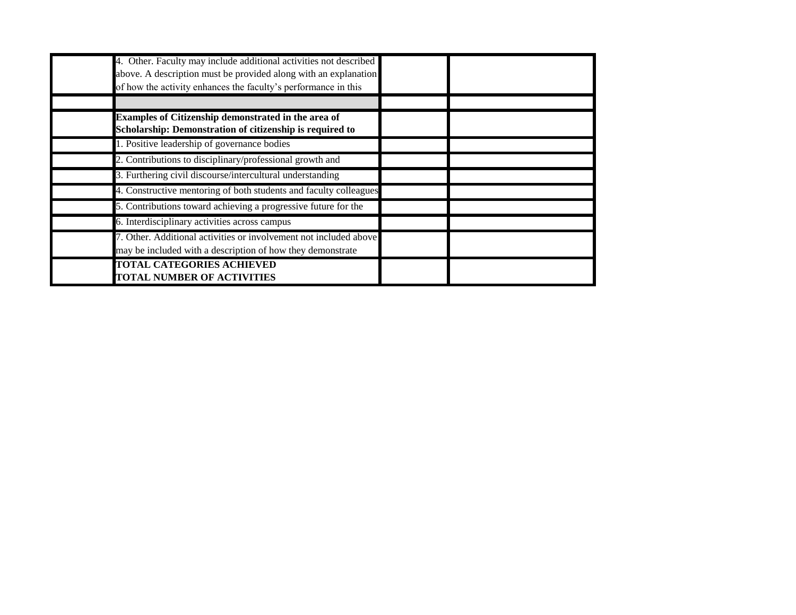| 4. Other. Faculty may include additional activities not described<br>above. A description must be provided along with an explanation<br>of how the activity enhances the faculty's performance in this |  |  |
|--------------------------------------------------------------------------------------------------------------------------------------------------------------------------------------------------------|--|--|
| Examples of Citizenship demonstrated in the area of<br>Scholarship: Demonstration of citizenship is required to                                                                                        |  |  |
| 1. Positive leadership of governance bodies                                                                                                                                                            |  |  |
| 2. Contributions to disciplinary/professional growth and                                                                                                                                               |  |  |
| 3. Furthering civil discourse/intercultural understanding                                                                                                                                              |  |  |
| 4. Constructive mentoring of both students and faculty colleagues                                                                                                                                      |  |  |
| 5. Contributions toward achieving a progressive future for the                                                                                                                                         |  |  |
| 6. Interdisciplinary activities across campus                                                                                                                                                          |  |  |
| 7. Other. Additional activities or involvement not included above<br>may be included with a description of how they demonstrate                                                                        |  |  |
| <b>TOTAL CATEGORIES ACHIEVED</b><br><b>TOTAL NUMBER OF ACTIVITIES</b>                                                                                                                                  |  |  |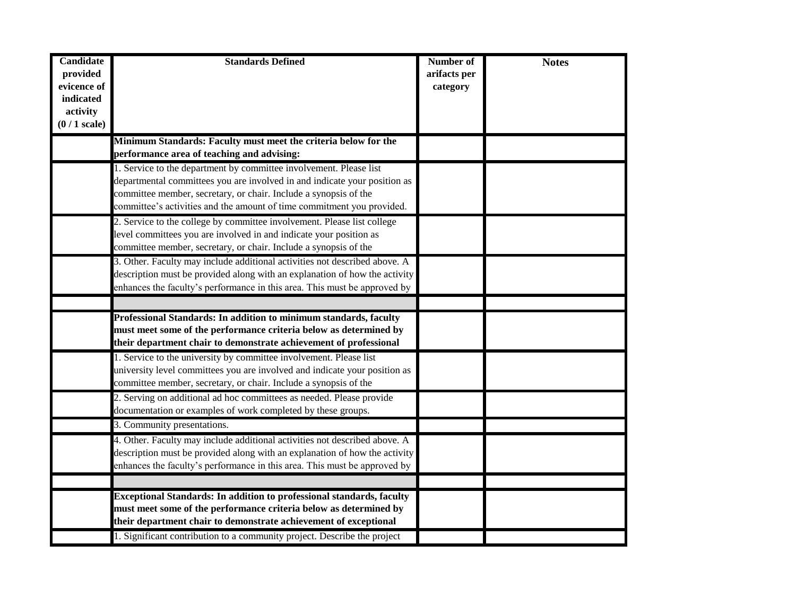| <b>Candidate</b><br>provided<br>evicence of<br>indicated<br>activity<br>$(0/1$ scale) | <b>Standards Defined</b>                                                                                                                                                                                                                                                                      | Number of<br>arifacts per<br>category | <b>Notes</b> |
|---------------------------------------------------------------------------------------|-----------------------------------------------------------------------------------------------------------------------------------------------------------------------------------------------------------------------------------------------------------------------------------------------|---------------------------------------|--------------|
|                                                                                       | Minimum Standards: Faculty must meet the criteria below for the<br>performance area of teaching and advising:                                                                                                                                                                                 |                                       |              |
|                                                                                       | 1. Service to the department by committee involvement. Please list<br>departmental committees you are involved in and indicate your position as<br>committee member, secretary, or chair. Include a synopsis of the<br>committee's activities and the amount of time commitment you provided. |                                       |              |
|                                                                                       | 2. Service to the college by committee involvement. Please list college<br>level committees you are involved in and indicate your position as<br>committee member, secretary, or chair. Include a synopsis of the                                                                             |                                       |              |
|                                                                                       | 3. Other. Faculty may include additional activities not described above. A<br>description must be provided along with an explanation of how the activity<br>enhances the faculty's performance in this area. This must be approved by                                                         |                                       |              |
|                                                                                       |                                                                                                                                                                                                                                                                                               |                                       |              |
|                                                                                       | Professional Standards: In addition to minimum standards, faculty<br>must meet some of the performance criteria below as determined by<br>their department chair to demonstrate achievement of professional                                                                                   |                                       |              |
|                                                                                       | 1. Service to the university by committee involvement. Please list<br>university level committees you are involved and indicate your position as<br>committee member, secretary, or chair. Include a synopsis of the                                                                          |                                       |              |
|                                                                                       | 2. Serving on additional ad hoc committees as needed. Please provide<br>documentation or examples of work completed by these groups.                                                                                                                                                          |                                       |              |
|                                                                                       | 3. Community presentations.                                                                                                                                                                                                                                                                   |                                       |              |
|                                                                                       | 4. Other. Faculty may include additional activities not described above. A<br>description must be provided along with an explanation of how the activity<br>enhances the faculty's performance in this area. This must be approved by                                                         |                                       |              |
|                                                                                       |                                                                                                                                                                                                                                                                                               |                                       |              |
|                                                                                       | <b>Exceptional Standards: In addition to professional standards, faculty</b><br>must meet some of the performance criteria below as determined by<br>their department chair to demonstrate achievement of exceptional                                                                         |                                       |              |
|                                                                                       | 1. Significant contribution to a community project. Describe the project                                                                                                                                                                                                                      |                                       |              |